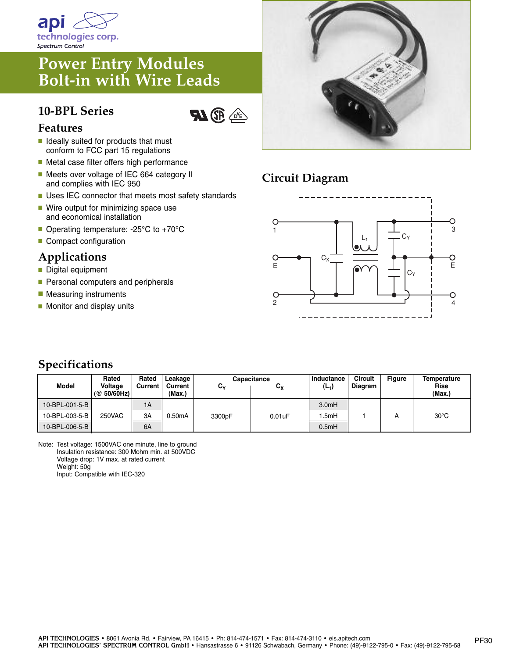

# **Power Entry Modules Bolt-in with Wire Leads**

### **10-BPL Series**



#### **Features**

- **■** Ideally suited for products that must conform to FCC part 15 regulations
- Metal case filter offers high performance
- Meets over voltage of IEC 664 category II and complies with IEC 950
- Uses IEC connector that meets most safety standards
- Wire output for minimizing space use and economical installation
- Operating temperature: -25°C to +70°C
- Compact configuration

#### **Applications**

- **■** Digital equipment
- Personal computers and peripherals
- Measuring instruments
- Monitor and display units



## **Circuit Diagram**



### **Specifications**

| <b>Model</b>   | Rated<br>Voltage<br>(@ 50/60 Hz) | Rated<br>Current | Leakage<br>Current<br>(Max.) | C.     | Capacitance<br>$\mathtt{c}_\mathtt{x}$ | Inductance<br>(L <sub>1</sub> ) | Circuit<br>Diagram | <b>Figure</b> | Temperature<br><b>Rise</b><br>(Max.) |
|----------------|----------------------------------|------------------|------------------------------|--------|----------------------------------------|---------------------------------|--------------------|---------------|--------------------------------------|
| 10-BPL-001-5-B |                                  | 1A               |                              |        |                                        | 3.0 <sub>m</sub> H              |                    |               |                                      |
| 10-BPL-003-5-B | <b>250VAC</b>                    | 3A               | 0.50mA                       | 3300pF | $0.01$ u $F$                           | .5mH                            |                    |               | $30^{\circ}$ C                       |
| 10-BPL-006-5-B |                                  | 6A               |                              |        |                                        | 0.5mH                           |                    |               |                                      |

Note: Test voltage: 1500VAC one minute, line to ground Insulation resistance: 300 Mohm min. at 500VDC Voltage drop: 1V max. at rated current Weight: 50g Input: Compatible with IEC-320